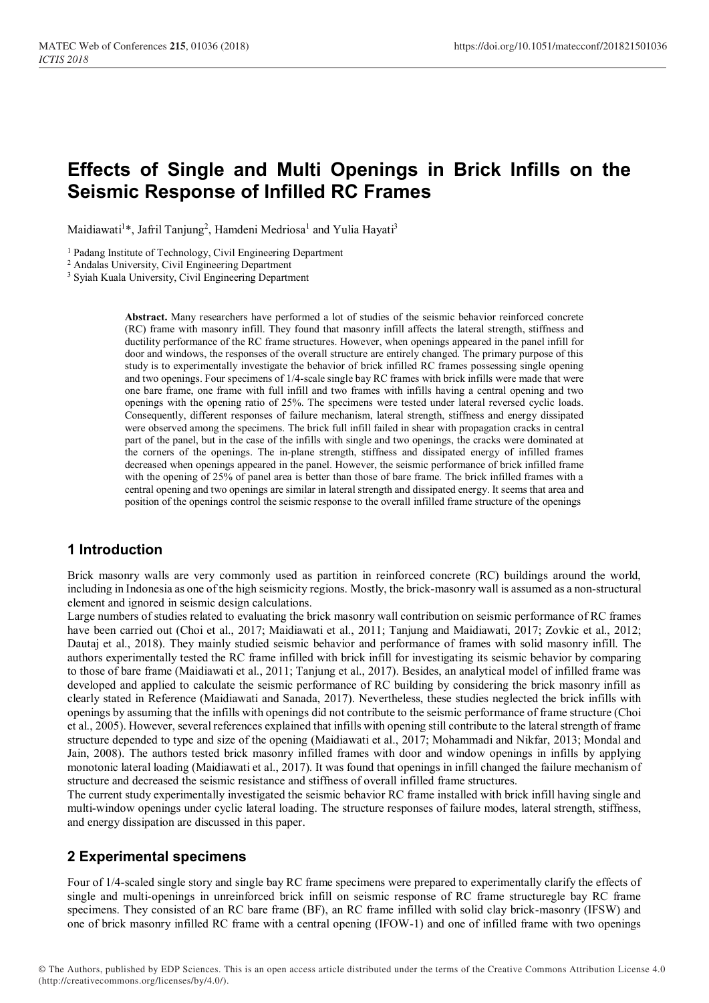# **Effects of Single and Multi Openings in Brick Infills on the Seismic Response of Infilled RC Frames**

Maidiawati<sup>1\*</sup>, Jafril Tanjung<sup>2</sup>, Hamdeni Medriosa<sup>1</sup> and Yulia Hayati<sup>3</sup>

<sup>1</sup> Padang Institute of Technology, Civil Engineering Department

<sup>2</sup> Andalas University, Civil Engineering Department

<sup>3</sup> Syiah Kuala University, Civil Engineering Department

**Abstract.** Many researchers have performed a lot of studies of the seismic behavior reinforced concrete (RC) frame with masonry infill. They found that masonry infill affects the lateral strength, stiffness and ductility performance of the RC frame structures. However, when openings appeared in the panel infill for door and windows, the responses of the overall structure are entirely changed. The primary purpose of this study is to experimentally investigate the behavior of brick infilled RC frames possessing single opening and two openings. Four specimens of 1/4-scale single bay RC frames with brick infills were made that were one bare frame, one frame with full infill and two frames with infills having a central opening and two openings with the opening ratio of 25%. The specimens were tested under lateral reversed cyclic loads. Consequently, different responses of failure mechanism, lateral strength, stiffness and energy dissipated were observed among the specimens. The brick full infill failed in shear with propagation cracks in central part of the panel, but in the case of the infills with single and two openings, the cracks were dominated at the corners of the openings. The in-plane strength, stiffness and dissipated energy of infilled frames decreased when openings appeared in the panel. However, the seismic performance of brick infilled frame with the opening of 25% of panel area is better than those of bare frame. The brick infilled frames with a central opening and two openings are similar in lateral strength and dissipated energy. It seems that area and position of the openings control the seismic response to the overall infilled frame structure of the openings

# **1 Introduction**

Brick masonry walls are very commonly used as partition in reinforced concrete (RC) buildings around the world, including in Indonesia as one of the high seismicity regions. Mostly, the brick-masonry wall is assumed as a non-structural element and ignored in seismic design calculations.

Large numbers of studies related to evaluating the brick masonry wall contribution on seismic performance of RC frames have been carried out (Choi et al., 2017; Maidiawati et al., 2011; Tanjung and Maidiawati, 2017; Zovkic et al., 2012; Dautaj et al., 2018). They mainly studied seismic behavior and performance of frames with solid masonry infill. The authors experimentally tested the RC frame infilled with brick infill for investigating its seismic behavior by comparing to those of bare frame (Maidiawati et al., 2011; Tanjung et al., 2017). Besides, an analytical model of infilled frame was developed and applied to calculate the seismic performance of RC building by considering the brick masonry infill as clearly stated in Reference (Maidiawati and Sanada, 2017). Nevertheless, these studies neglected the brick infills with openings by assuming that the infills with openings did not contribute to the seismic performance of frame structure (Choi et al., 2005). However, several references explained that infills with opening still contribute to the lateral strength of frame structure depended to type and size of the opening (Maidiawati et al., 2017; Mohammadi and Nikfar, 2013; Mondal and Jain, 2008). The authors tested brick masonry infilled frames with door and window openings in infills by applying monotonic lateral loading (Maidiawati et al., 2017). It was found that openings in infill changed the failure mechanism of structure and decreased the seismic resistance and stiffness of overall infilled frame structures.

The current study experimentally investigated the seismic behavior RC frame installed with brick infill having single and multi-window openings under cyclic lateral loading. The structure responses of failure modes, lateral strength, stiffness, and energy dissipation are discussed in this paper.

# **2 Experimental specimens**

Four of 1/4-scaled single story and single bay RC frame specimens were prepared to experimentally clarify the effects of single and multi-openings in unreinforced brick infill on seismic response of RC frame structuregle bay RC frame specimens. They consisted of an RC bare frame (BF), an RC frame infilled with solid clay brick-masonry (IFSW) and one of brick masonry infilled RC frame with a central opening (IFOW-1) and one of infilled frame with two openings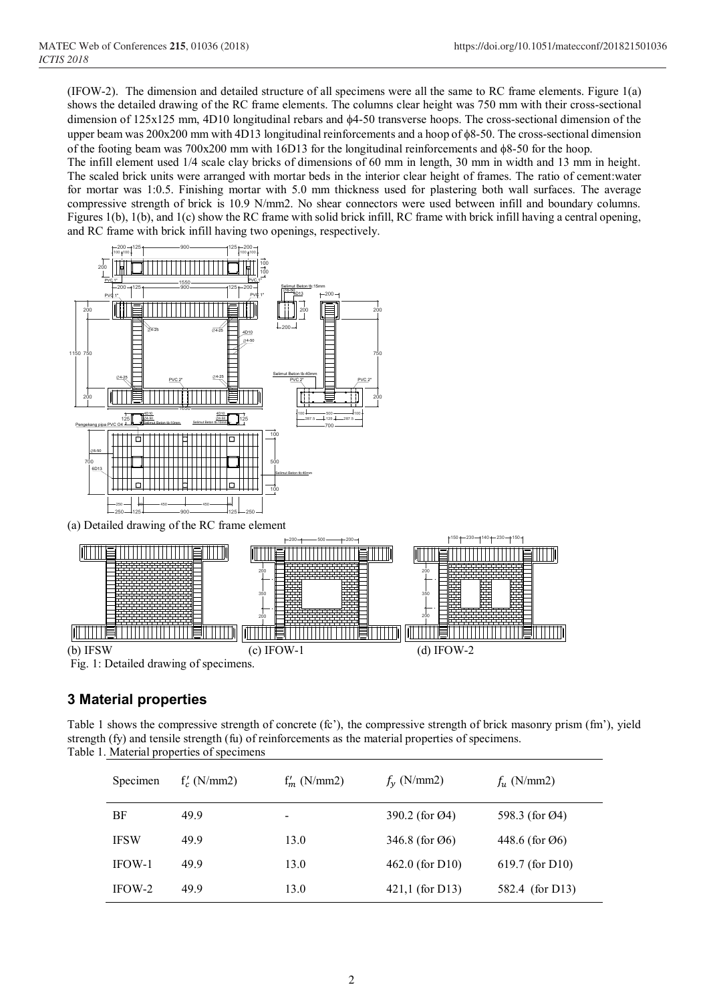(IFOW-2). The dimension and detailed structure of all specimens were all the same to RC frame elements. Figure 1(a) shows the detailed drawing of the RC frame elements. The columns clear height was 750 mm with their cross-sectional dimension of  $125x125$  mm,  $4D10$  longitudinal rebars and  $\phi$ 4-50 transverse hoops. The cross-sectional dimension of the upper beam was 200x200 mm with 4D13 longitudinal reinforcements and a hoop of 8-50. The cross-sectional dimension of the footing beam was  $700x200$  mm with 16D13 for the longitudinal reinforcements and  $\phi$ 8-50 for the hoop.

The infill element used 1/4 scale clay bricks of dimensions of 60 mm in length, 30 mm in width and 13 mm in height. The scaled brick units were arranged with mortar beds in the interior clear height of frames. The ratio of cement:water for mortar was 1:0.5. Finishing mortar with 5.0 mm thickness used for plastering both wall surfaces. The average compressive strength of brick is 10.9 N/mm2. No shear connectors were used between infill and boundary columns. Figures 1(b), 1(b), and 1(c) show the RC frame with solid brick infill, RC frame with brick infill having a central opening, and RC frame with brick infill having two openings, respectively.



# **3 Material properties**

Table 1 shows the compressive strength of concrete (fc'), the compressive strength of brick masonry prism (fm'), yield strength (fy) and tensile strength (fu) of reinforcements as the material properties of specimens. Table 1. Material properties of specimens

| Specimen    | $f'_c$ (N/mm2) | $f'_m$ (N/mm2) | $f_v$ (N/mm2)               | $f_u$ (N/mm2)               |
|-------------|----------------|----------------|-----------------------------|-----------------------------|
| BF          | 49.9           | -              | 390.2 (for Ø4)              | 598.3 (for Ø4)              |
| <b>IFSW</b> | 49.9           | 13.0           | 346.8 (for $\varnothing$ 6) | 448.6 (for $\varnothing$ 6) |
| IFOW-1      | 49.9           | 13.0           | $462.0$ (for D10)           | $619.7$ (for D10)           |
| IFOW-2      | 49.9           | 13.0           | $421,1$ (for D13)           | 582.4 (for D13)             |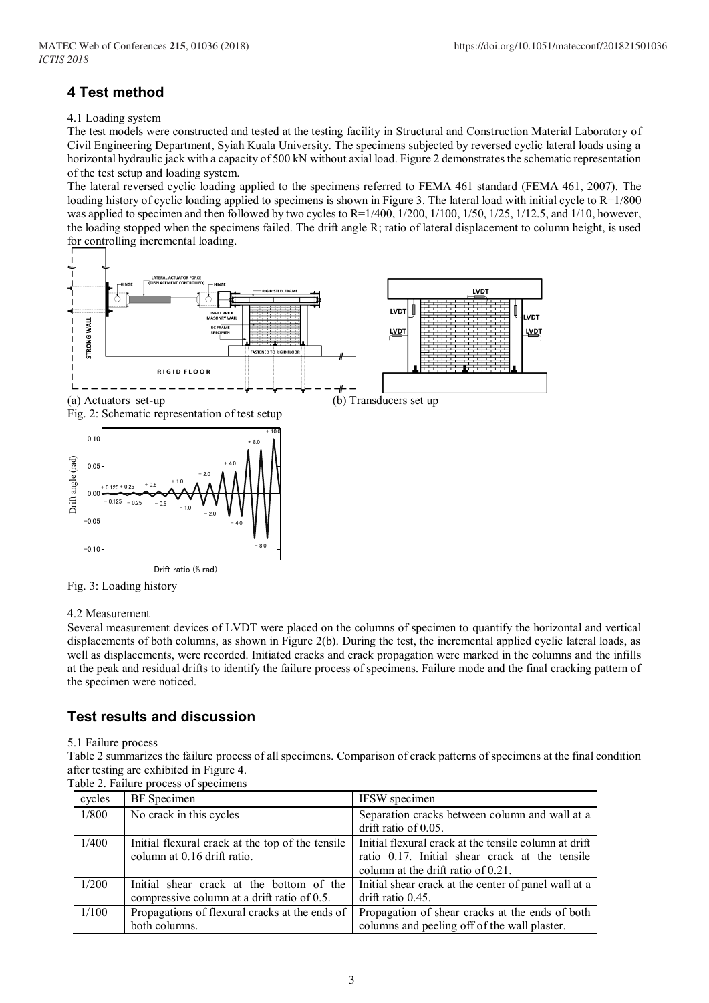# **4 Test method**

### 4.1 Loading system

The test models were constructed and tested at the testing facility in Structural and Construction Material Laboratory of Civil Engineering Department, Syiah Kuala University. The specimens subjected by reversed cyclic lateral loads using a horizontal hydraulic jack with a capacity of 500 kN without axial load. Figure 2 demonstrates the schematic representation of the test setup and loading system.

The lateral reversed cyclic loading applied to the specimens referred to FEMA 461 standard (FEMA 461, 2007). The loading history of cyclic loading applied to specimens is shown in Figure 3. The lateral load with initial cycle to R=1/800 was applied to specimen and then followed by two cycles to  $R=1/400$ ,  $1/200$ ,  $1/100$ ,  $1/50$ ,  $1/25$ ,  $1/12.5$ , and  $1/10$ , however, the loading stopped when the specimens failed. The drift angle R; ratio of lateral displacement to column height, is used for controlling incremental loading.



Fig. 3: Loading history

#### 4.2 Measurement

Several measurement devices of LVDT were placed on the columns of specimen to quantify the horizontal and vertical displacements of both columns, as shown in Figure 2(b). During the test, the incremental applied cyclic lateral loads, as well as displacements, were recorded. Initiated cracks and crack propagation were marked in the columns and the infills at the peak and residual drifts to identify the failure process of specimens. Failure mode and the final cracking pattern of the specimen were noticed.

# **Test results and discussion**

#### 5.1 Failure process

Table 2 summarizes the failure process of all specimens. Comparison of crack patterns of specimens at the final condition after testing are exhibited in Figure 4.

|  | Table 2. Failure process of specimens |  |
|--|---------------------------------------|--|

| cycles | BF Specimen                                      | IFSW specimen                                         |
|--------|--------------------------------------------------|-------------------------------------------------------|
| 1/800  | No crack in this cycles                          | Separation cracks between column and wall at a        |
|        |                                                  | drift ratio of 0.05.                                  |
| 1/400  | Initial flexural crack at the top of the tensile | Initial flexural crack at the tensile column at drift |
|        | column at 0.16 drift ratio.                      | ratio 0.17. Initial shear crack at the tensile        |
|        |                                                  | column at the drift ratio of 0.21.                    |
| 1/200  | Initial shear crack at the bottom of the         | Initial shear crack at the center of panel wall at a  |
|        | compressive column at a drift ratio of 0.5.      | drift ratio 0.45.                                     |
| 1/100  | Propagations of flexural cracks at the ends of   | Propagation of shear cracks at the ends of both       |
|        | both columns.                                    | columns and peeling off of the wall plaster.          |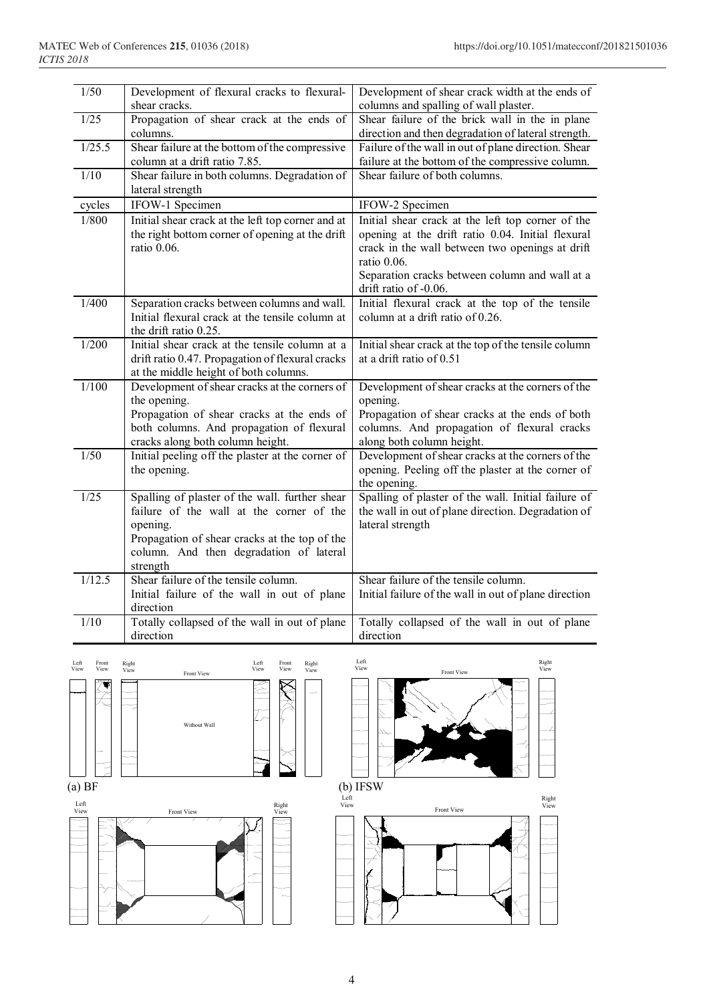| 1/50                          | Development of flexural cracks to flexural-<br>shear cracks.                                   | Development of shear crack width at the ends of<br>columns and spalling of wall plaster. |  |
|-------------------------------|------------------------------------------------------------------------------------------------|------------------------------------------------------------------------------------------|--|
| 1/25                          | Propagation of shear crack at the ends of                                                      | Shear failure of the brick wall in the in plane                                          |  |
|                               | columns.                                                                                       | direction and then degradation of lateral strength.                                      |  |
| 1/25.5                        | Shear failure at the bottom of the compressive                                                 | Failure of the wall in out of plane direction. Shear                                     |  |
|                               | column at a drift ratio 7.85.                                                                  | failure at the bottom of the compressive column.                                         |  |
| 1/10                          | Shear failure in both columns. Degradation of                                                  | Shear failure of both columns.                                                           |  |
|                               | lateral strength                                                                               |                                                                                          |  |
| cycles                        | IFOW-1 Specimen                                                                                | IFOW-2 Specimen                                                                          |  |
| 1/800                         | Initial shear crack at the left top corner and at                                              | Initial shear crack at the left top corner of the                                        |  |
|                               | the right bottom corner of opening at the drift                                                | opening at the drift ratio 0.04. Initial flexural                                        |  |
|                               | ratio 0.06.                                                                                    | crack in the wall between two openings at drift                                          |  |
|                               |                                                                                                | ratio 0.06.                                                                              |  |
|                               |                                                                                                | Separation cracks between column and wall at a                                           |  |
| 1/400                         |                                                                                                | drift ratio of -0.06.                                                                    |  |
|                               | Separation cracks between columns and wall.<br>Initial flexural crack at the tensile column at | Initial flexural crack at the top of the tensile<br>column at a drift ratio of 0.26.     |  |
|                               | the drift ratio 0.25.                                                                          |                                                                                          |  |
| 1/200                         | Initial shear crack at the tensile column at a                                                 | Initial shear crack at the top of the tensile column                                     |  |
|                               | drift ratio 0.47. Propagation of flexural cracks                                               | at a drift ratio of 0.51                                                                 |  |
|                               | at the middle height of both columns.                                                          |                                                                                          |  |
| 1/100                         | Development of shear cracks at the corners of                                                  | Development of shear cracks at the corners of the                                        |  |
|                               | the opening.                                                                                   | opening.                                                                                 |  |
|                               | Propagation of shear cracks at the ends of                                                     | Propagation of shear cracks at the ends of both                                          |  |
|                               | both columns. And propagation of flexural                                                      | columns. And propagation of flexural cracks                                              |  |
|                               | cracks along both column height.                                                               | along both column height.                                                                |  |
| 1/50                          | Initial peeling off the plaster at the corner of                                               | Development of shear cracks at the corners of the                                        |  |
|                               | the opening.                                                                                   | opening. Peeling off the plaster at the corner of                                        |  |
|                               |                                                                                                | the opening.                                                                             |  |
| 1/25                          | Spalling of plaster of the wall. further shear                                                 | Spalling of plaster of the wall. Initial failure of                                      |  |
|                               | failure of the wall at the corner of the                                                       | the wall in out of plane direction. Degradation of                                       |  |
|                               | opening.<br>Propagation of shear cracks at the top of the                                      | lateral strength                                                                         |  |
|                               | column. And then degradation of lateral                                                        |                                                                                          |  |
|                               | strength                                                                                       |                                                                                          |  |
| 1/12.5                        | Shear failure of the tensile column.                                                           | Shear failure of the tensile column.                                                     |  |
|                               | Initial failure of the wall in out of plane                                                    | Initial failure of the wall in out of plane direction                                    |  |
|                               | direction                                                                                      |                                                                                          |  |
| 1/10                          | Totally collapsed of the wall in out of plane                                                  | Totally collapsed of the wall in out of plane                                            |  |
|                               | direction                                                                                      | direction                                                                                |  |
|                               |                                                                                                |                                                                                          |  |
| Front<br>Left<br>View<br>View | Left<br>Front<br>Right<br>Right<br>View<br>View<br>View<br>View<br>Front View                  | Left<br>Right<br>View<br>View<br>Front View                                              |  |
|                               |                                                                                                |                                                                                          |  |
|                               |                                                                                                |                                                                                          |  |
|                               |                                                                                                |                                                                                          |  |
|                               | Without Wall                                                                                   |                                                                                          |  |
|                               |                                                                                                |                                                                                          |  |
|                               |                                                                                                |                                                                                          |  |
|                               |                                                                                                |                                                                                          |  |
|                               |                                                                                                |                                                                                          |  |





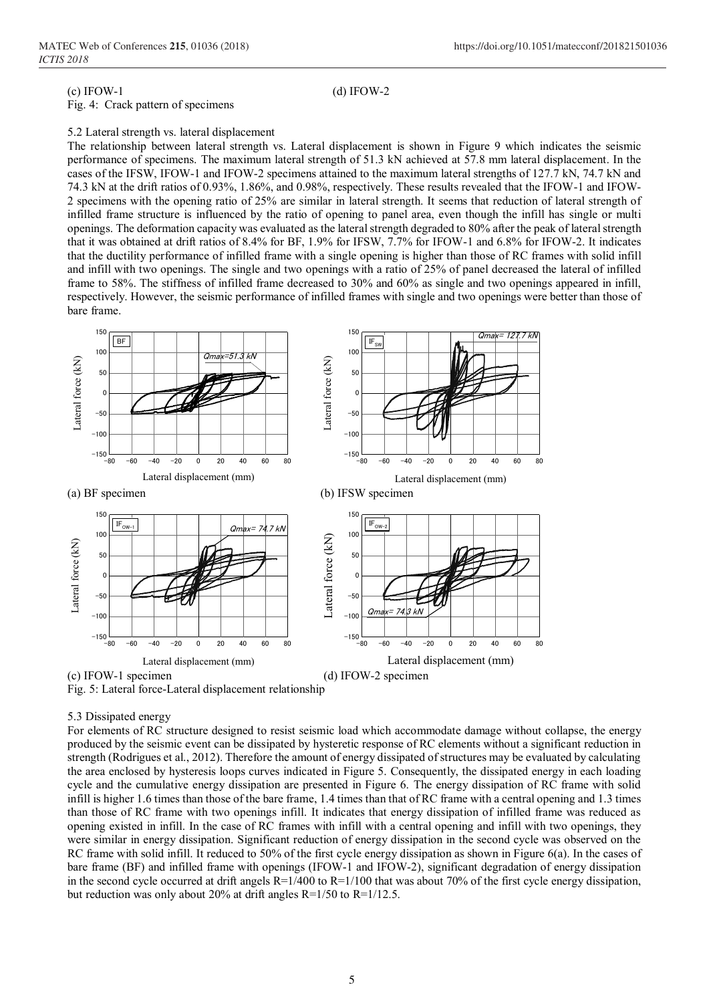#### (c) IFOW-1 (d) IFOW-2

#### Fig. 4: Crack pattern of specimens

#### 5.2 Lateral strength vs. lateral displacement

The relationship between lateral strength vs. Lateral displacement is shown in Figure 9 which indicates the seismic performance of specimens. The maximum lateral strength of 51.3 kN achieved at 57.8 mm lateral displacement. In the cases of the IFSW, IFOW-1 and IFOW-2 specimens attained to the maximum lateral strengths of 127.7 kN, 74.7 kN and 74.3 kN at the drift ratios of 0.93%, 1.86%, and 0.98%, respectively. These results revealed that the IFOW-1 and IFOW-2 specimens with the opening ratio of 25% are similar in lateral strength. It seems that reduction of lateral strength of infilled frame structure is influenced by the ratio of opening to panel area, even though the infill has single or multi openings. The deformation capacity was evaluated as the lateral strength degraded to 80% after the peak of lateral strength that it was obtained at drift ratios of 8.4% for BF, 1.9% for IFSW, 7.7% for IFOW-1 and 6.8% for IFOW-2. It indicates that the ductility performance of infilled frame with a single opening is higher than those of RC frames with solid infill and infill with two openings. The single and two openings with a ratio of 25% of panel decreased the lateral of infilled frame to 58%. The stiffness of infilled frame decreased to 30% and 60% as single and two openings appeared in infill, respectively. However, the seismic performance of infilled frames with single and two openings were better than those of bare frame.



## 5.3 Dissipated energy

For elements of RC structure designed to resist seismic load which accommodate damage without collapse, the energy produced by the seismic event can be dissipated by hysteretic response of RC elements without a significant reduction in strength (Rodrigues et al., 2012). Therefore the amount of energy dissipated of structures may be evaluated by calculating the area enclosed by hysteresis loops curves indicated in Figure 5. Consequently, the dissipated energy in each loading cycle and the cumulative energy dissipation are presented in Figure 6. The energy dissipation of RC frame with solid infill is higher 1.6 times than those of the bare frame, 1.4 times than that of RC frame with a central opening and 1.3 times than those of RC frame with two openings infill. It indicates that energy dissipation of infilled frame was reduced as opening existed in infill. In the case of RC frames with infill with a central opening and infill with two openings, they were similar in energy dissipation. Significant reduction of energy dissipation in the second cycle was observed on the RC frame with solid infill. It reduced to 50% of the first cycle energy dissipation as shown in Figure 6(a). In the cases of bare frame (BF) and infilled frame with openings (IFOW-1 and IFOW-2), significant degradation of energy dissipation in the second cycle occurred at drift angels  $R=1/400$  to  $R=1/100$  that was about 70% of the first cycle energy dissipation, but reduction was only about 20% at drift angles R=1/50 to R=1/12.5.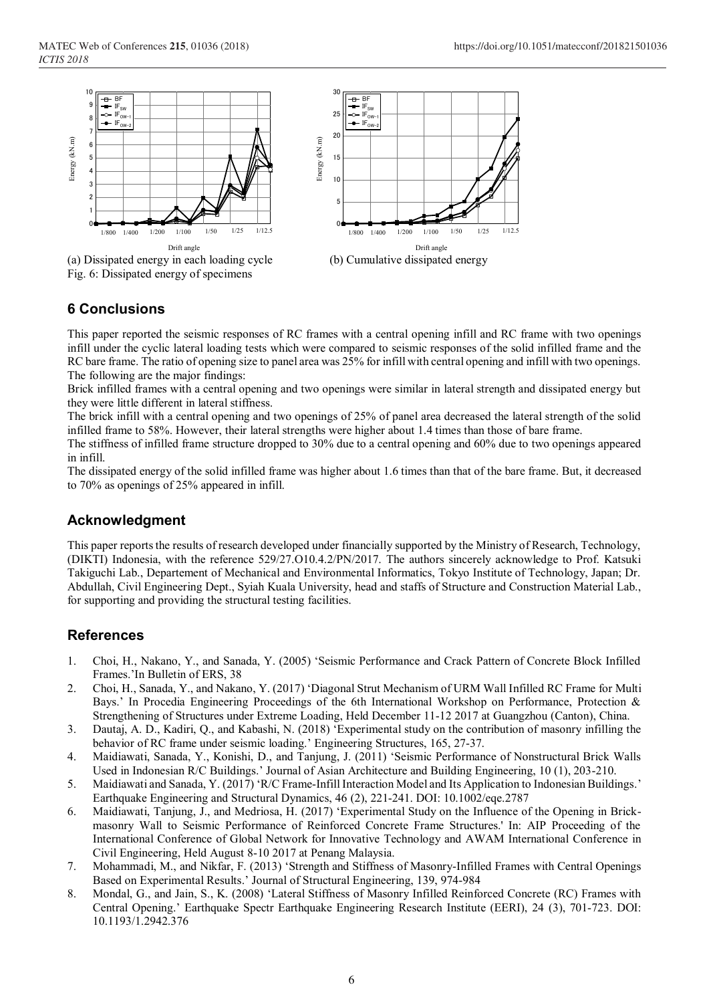

(a) Dissipated energy in each loading cycle (b) Cumulative dissipated energy Fig. 6: Dissipated energy of specimens



# **6 Conclusions**

This paper reported the seismic responses of RC frames with a central opening infill and RC frame with two openings infill under the cyclic lateral loading tests which were compared to seismic responses of the solid infilled frame and the RC bare frame. The ratio of opening size to panel area was 25% for infill with central opening and infill with two openings. The following are the major findings:

Brick infilled frames with a central opening and two openings were similar in lateral strength and dissipated energy but they were little different in lateral stiffness.

The brick infill with a central opening and two openings of 25% of panel area decreased the lateral strength of the solid infilled frame to 58%. However, their lateral strengths were higher about 1.4 times than those of bare frame.

The stiffness of infilled frame structure dropped to 30% due to a central opening and 60% due to two openings appeared in infill.

The dissipated energy of the solid infilled frame was higher about 1.6 times than that of the bare frame. But, it decreased to 70% as openings of 25% appeared in infill.

# **Acknowledgment**

This paper reports the results of research developed under financially supported by the Ministry of Research, Technology, (DIKTI) Indonesia, with the reference 529/27.O10.4.2/PN/2017. The authors sincerely acknowledge to Prof. Katsuki Takiguchi Lab., Departement of Mechanical and Environmental Informatics, Tokyo Institute of Technology, Japan; Dr. Abdullah, Civil Engineering Dept., Syiah Kuala University, head and staffs of Structure and Construction Material Lab., for supporting and providing the structural testing facilities.

## **References**

- 1. Choi, H., Nakano, Y., and Sanada, Y. (2005) 'Seismic Performance and Crack Pattern of Concrete Block Infilled Frames.'In Bulletin of ERS, 38
- 2. Choi, H., Sanada, Y., and Nakano, Y. (2017) 'Diagonal Strut Mechanism of URM Wall Infilled RC Frame for Multi Bays.' In Procedia Engineering Proceedings of the 6th International Workshop on Performance, Protection & Strengthening of Structures under Extreme Loading, Held December 11-12 2017 at Guangzhou (Canton), China.
- 3. Dautaj, A. D., Kadiri, Q., and Kabashi, N. (2018) 'Experimental study on the contribution of masonry infilling the behavior of RC frame under seismic loading.' Engineering Structures, 165, 27-37.
- 4. Maidiawati, Sanada, Y., Konishi, D., and Tanjung, J. (2011) 'Seismic Performance of Nonstructural Brick Walls Used in Indonesian R/C Buildings.' Journal of Asian Architecture and Building Engineering, 10 (1), 203-210.
- 5. Maidiawati and Sanada, Y. (2017) 'R/C Frame-Infill Interaction Model and Its Application to Indonesian Buildings.' Earthquake Engineering and Structural Dynamics, 46 (2), 221-241. DOI: 10.1002/eqe.2787
- 6. Maidiawati, Tanjung, J., and Medriosa, H. (2017) 'Experimental Study on the Influence of the Opening in Brickmasonry Wall to Seismic Performance of Reinforced Concrete Frame Structures.' In: AIP Proceeding of the International Conference of Global Network for Innovative Technology and AWAM International Conference in Civil Engineering, Held August 8-10 2017 at Penang Malaysia.
- 7. Mohammadi, M., and Nikfar, F. (2013) 'Strength and Stiffness of Masonry-Infilled Frames with Central Openings Based on Experimental Results.' Journal of Structural Engineering, 139, 974-984
- 8. Mondal, G., and Jain, S., K. (2008) 'Lateral Stiffness of Masonry Infilled Reinforced Concrete (RC) Frames with Central Opening.' Earthquake Spectr Earthquake Engineering Research Institute (EERI), 24 (3), 701-723. DOI: 10.1193/1.2942.376